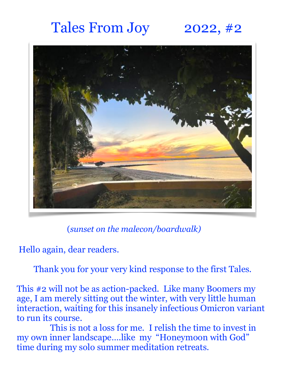## Tales From Joy 2022,  $#2$



(*sunset on the malecon/boardwalk)*

Hello again, dear readers.

Thank you for your very kind response to the first Tales.

This #2 will not be as action-packed. Like many Boomers my age, I am merely sitting out the winter, with very little human interaction, waiting for this insanely infectious Omicron variant to run its course.

 This is not a loss for me. I relish the time to invest in my own inner landscape….like my "Honeymoon with God" time during my solo summer meditation retreats.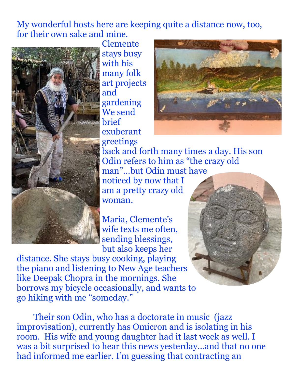My wonderful hosts here are keeping quite a distance now, too, for their own sake and mine.



Clemente stays busy with his many folk art projects and gardening We send brief exuberant greetings



back and forth many times a day. His son Odin refers to him as "the crazy old man"…but Odin must have noticed by now that I am a pretty crazy old woman.

Maria, Clemente's wife texts me often, sending blessings, but also keeps her

distance. She stays busy cooking, playing the piano and listening to New Age teachers like Deepak Chopra in the mornings. She borrows my bicycle occasionally, and wants to go hiking with me "someday."



Their son Odin, who has a doctorate in music (jazz improvisation), currently has Omicron and is isolating in his room. His wife and young daughter had it last week as well. I was a bit surprised to hear this news yesterday…and that no one had informed me earlier. I'm guessing that contracting an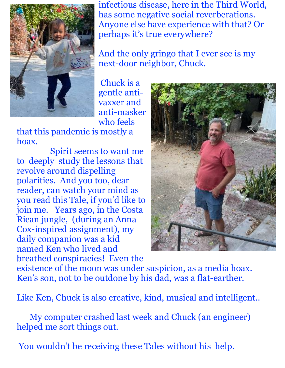

infectious disease, here in the Third World, has some negative social reverberations. Anyone else have experience with that? Or perhaps it's true everywhere?

And the only gringo that I ever see is my next-door neighbor, Chuck.

 Chuck is a gentle antivaxxer and anti-masker who feels

that this pandemic is mostly a hoax.

 Spirit seems to want me to deeply study the lessons that revolve around dispelling polarities. And you too, dear reader, can watch your mind as you read this Tale, if you'd like to join me. Years ago, in the Costa Rican jungle, (during an Anna Cox-inspired assignment), my daily companion was a kid named Ken who lived and breathed conspiracies! Even the



existence of the moon was under suspicion, as a media hoax. Ken's son, not to be outdone by his dad, was a flat-earther.

Like Ken, Chuck is also creative, kind, musical and intelligent..

 My computer crashed last week and Chuck (an engineer) helped me sort things out.

You wouldn't be receiving these Tales without his help.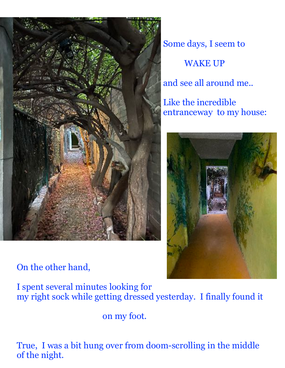

On the other hand,

Some days, I seem to WAKE UP and see all around me..

Like the incredible entranceway to my house:



I spent several minutes looking for my right sock while getting dressed yesterday. I finally found it

on my foot.

True, I was a bit hung over from doom-scrolling in the middle of the night.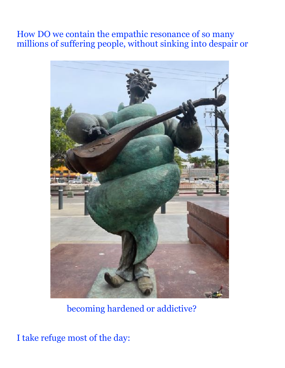## How DO we contain the empathic resonance of so many millions of suffering people, without sinking into despair or



becoming hardened or addictive?

I take refuge most of the day: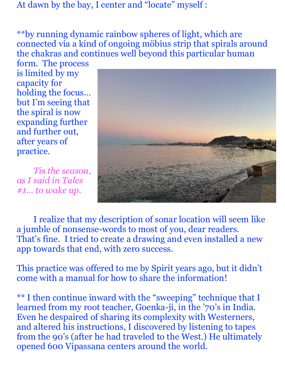At dawn by the bay, I center and "locate" myself :

\*\*by running dynamic rainbow spheres of light, which are connected via a kind of ongoing möbius strip that spirals around the chakras and continues well beyond this particular human

form. The process is limited by my capacity for holding the focus… but I'm seeing that the spiral is now expanding further and further out, after years of practice.

*Tis the season, as I said in Tales #1… to wake up.* 



 I realize that my description of sonar location will seem like a jumble of nonsense-words to most of you, dear readers. That's fine. I tried to create a drawing and even installed a new app towards that end, with zero success.

This practice was offered to me by Spirit years ago, but it didn't come with a manual for how to share the information!

\*\* I then continue inward with the "sweeping" technique that I learned from my root teacher, Goenka-ji, in the '70's in India. Even he despaired of sharing its complexity with Westerners, and altered his instructions, I discovered by listening to tapes from the 90's (after he had traveled to the West.) He ultimately opened 600 Vipassana centers around the world.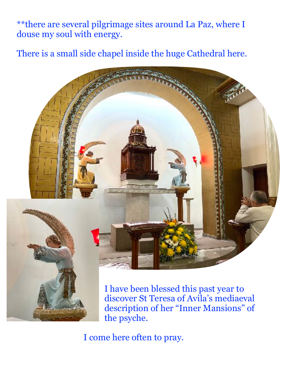\*\*there are several pilgrimage sites around La Paz, where I douse my soul with energy.

There is a small side chapel inside the huge Cathedral here.



I have been blessed this past year to discover St Teresa of Avila's mediaeval description of her "Inner Mansions" of the psyche.

I come here often to pray.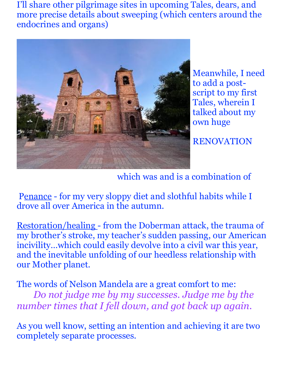I'll share other pilgrimage sites in upcoming Tales, dears, and more precise details about sweeping (which centers around the endocrines and organs)



Meanwhile, I need to add a postscript to my first Tales, wherein I talked about my own huge

RENOVATION

which was and is a combination of

 Penance - for my very sloppy diet and slothful habits while I drove all over America in the autumn.

Restoration/healing - from the Doberman attack, the trauma of my brother's stroke, my teacher's sudden passing, our American incivility…which could easily devolve into a civil war this year, and the inevitable unfolding of our heedless relationship with our Mother planet.

The words of Nelson Mandela are a great comfort to me: *Do not judge me by my successes. Judge me by the number times that I fell down, and got back up again.* 

As you well know, setting an intention and achieving it are two completely separate processes.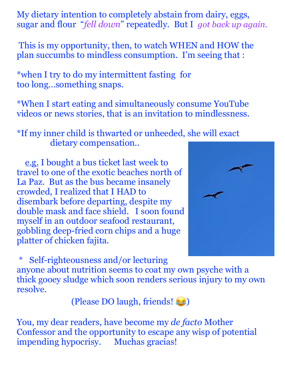My dietary intention to completely abstain from dairy, eggs, sugar and flour "*fell down*" repeatedly. But I *got back up again.* 

 This is my opportunity, then, to watch WHEN and HOW the plan succumbs to mindless consumption. I'm seeing that :

\*when I try to do my intermittent fasting for too long…something snaps.

\*When I start eating and simultaneously consume YouTube videos or news stories, that is an invitation to mindlessness.

\*If my inner child is thwarted or unheeded, she will exact dietary compensation..

 e.g. I bought a bus ticket last week to travel to one of the exotic beaches north of La Paz. But as the bus became insanely crowded, I realized that I HAD to disembark before departing, despite my double mask and face shield. I soon found myself in an outdoor seafood restaurant, gobbling deep-fried corn chips and a huge platter of chicken fajita.



 \* Self-righteousness and/or lecturing anyone about nutrition seems to coat my own psyche with a thick gooey sludge which soon renders serious injury to my own resolve.

(Please DO laugh, friends!

You, my dear readers, have become my *de facto* Mother Confessor and the opportunity to escape any wisp of potential impending hypocrisy. Muchas gracias!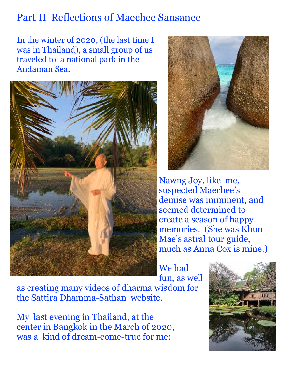## Part II Reflections of Maechee Sansanee

In the winter of 2020, (the last time I was in Thailand), a small group of us traveled to a national park in the Andaman Sea.





Nawng Joy, like me, suspected Maechee's demise was imminent, and seemed determined to create a season of happy memories. (She was Khun Mae's astral tour guide, much as Anna Cox is mine.)

We had fun, as well

as creating many videos of dharma wisdom for the Sattira Dhamma-Sathan website.

My last evening in Thailand, at the center in Bangkok in the March of 2020, was a kind of dream-come-true for me:

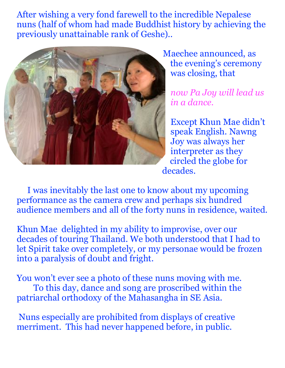After wishing a very fond farewell to the incredible Nepalese nuns (half of whom had made Buddhist history by achieving the previously unattainable rank of Geshe)..



Maechee announced, as the evening's ceremony was closing, that

*now Pa Joy will lead us in a dance.*

Except Khun Mae didn't speak English. Nawng Joy was always her interpreter as they circled the globe for decades.

 I was inevitably the last one to know about my upcoming performance as the camera crew and perhaps six hundred audience members and all of the forty nuns in residence, waited.

Khun Mae delighted in my ability to improvise, over our decades of touring Thailand. We both understood that I had to let Spirit take over completely, or my personae would be frozen into a paralysis of doubt and fright.

You won't ever see a photo of these nuns moving with me. To this day, dance and song are proscribed within the patriarchal orthodoxy of the Mahasangha in SE Asia.

 Nuns especially are prohibited from displays of creative merriment. This had never happened before, in public.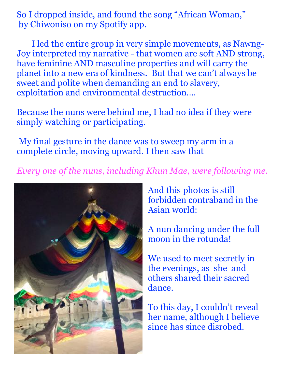So I dropped inside, and found the song "African Woman," by Chiwoniso on my Spotify app.

 I led the entire group in very simple movements, as Nawng-Joy interpreted my narrative - that women are soft AND strong, have feminine AND masculine properties and will carry the planet into a new era of kindness. But that we can't always be sweet and polite when demanding an end to slavery, exploitation and environmental destruction….

Because the nuns were behind me, I had no idea if they were simply watching or participating.

 My final gesture in the dance was to sweep my arm in a complete circle, moving upward. I then saw that

*Every one of the nuns, including Khun Mae, were following me.* 



And this photos is still forbidden contraband in the Asian world:

A nun dancing under the full moon in the rotunda!

We used to meet secretly in the evenings, as she and others shared their sacred dance.

To this day, I couldn't reveal her name, although I believe since has since disrobed.